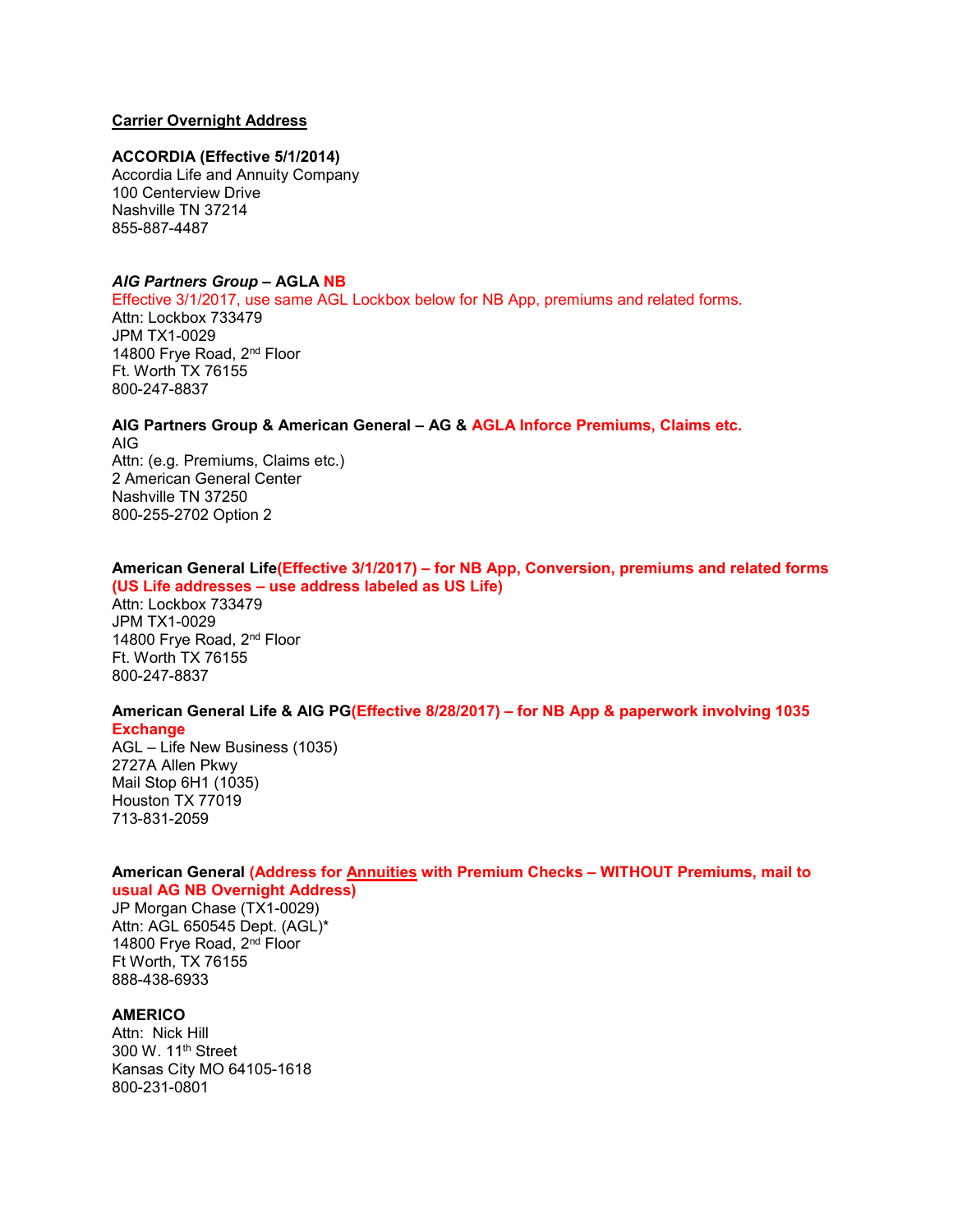# **Carrier Overnight Address**

#### **ACCORDIA (Effective 5/1/2014)**

Accordia Life and Annuity Company 100 Centerview Drive Nashville TN 37214 855-887-4487

#### *AIG Partners Group –* **AGLA NB**

Effective 3/1/2017, use same AGL Lockbox below for NB App, premiums and related forms. Attn: Lockbox 733479 JPM TX1-0029 14800 Frye Road, 2<sup>nd</sup> Floor Ft. Worth TX 76155 800-247-8837

**AIG Partners Group & American General – AG & AGLA Inforce Premiums, Claims etc.** AIG Attn: (e.g. Premiums, Claims etc.) 2 American General Center Nashville TN 37250 800-255-2702 Option 2

#### **American General Life(Effective 3/1/2017) – for NB App, Conversion, premiums and related forms (US Life addresses – use address labeled as US Life)**

Attn: Lockbox 733479 JPM TX1-0029 14800 Frye Road, 2<sup>nd</sup> Floor Ft. Worth TX 76155 800-247-8837

# **American General Life & AIG PG(Effective 8/28/2017) – for NB App & paperwork involving 1035**

**Exchange**

AGL – Life New Business (1035) 2727A Allen Pkwy Mail Stop 6H1 (1035) Houston TX 77019 713-831-2059

#### **American General (Address for Annuities with Premium Checks – WITHOUT Premiums, mail to usual AG NB Overnight Address)**

JP Morgan Chase (TX1-0029) Attn: AGL 650545 Dept. (AGL)\* 14800 Frye Road, 2nd Floor Ft Worth, TX 76155 888-438-6933

## **AMERICO**

Attn: Nick Hill 300 W. 11th Street Kansas City MO 64105-1618 800-231-0801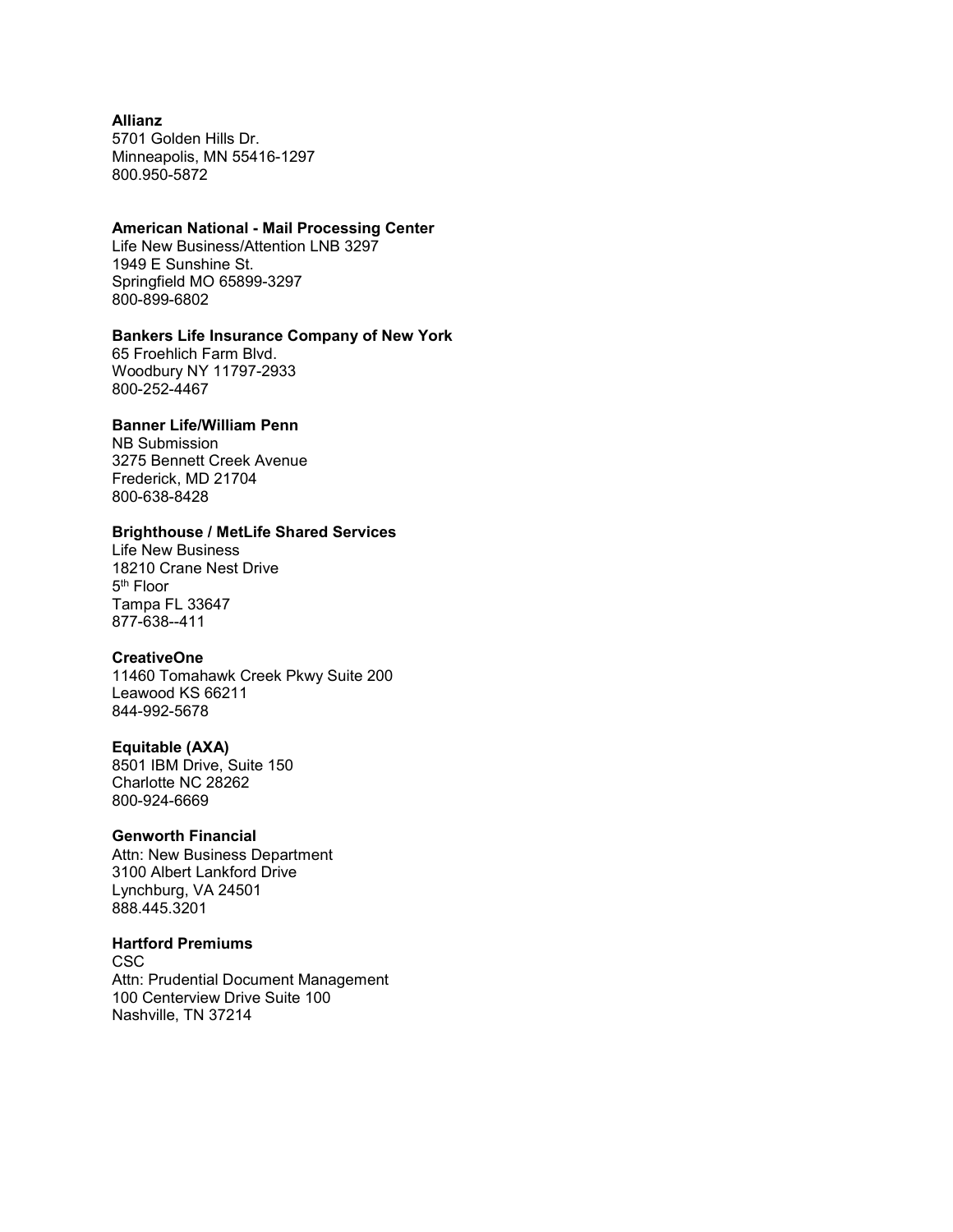## **Allianz**

5701 Golden Hills Dr. Minneapolis, MN 55416-1297 800.950-5872

#### **American National - Mail Processing Center**

Life New Business/Attention LNB 3297 1949 E Sunshine St. Springfield MO 65899-3297 800-899-6802

## **Bankers Life Insurance Company of New York**

65 Froehlich Farm Blvd. Woodbury NY 11797-2933 800-252-4467

## **Banner Life/William Penn**

NB Submission 3275 Bennett Creek Avenue Frederick, MD 21704 800-638-8428

## **Brighthouse / MetLife Shared Services**

Life New Business 18210 Crane Nest Drive 5th Floor Tampa FL 33647 877-638--411

## **CreativeOne**

11460 Tomahawk Creek Pkwy Suite 200 Leawood KS 66211 844-992-5678

#### **Equitable (AXA)**

8501 IBM Drive, Suite 150 Charlotte NC 28262 800-924-6669

#### **Genworth Financial**

Attn: New Business Department 3100 Albert Lankford Drive Lynchburg, VA 24501 888.445.3201

#### **Hartford Premiums**

CSC Attn: Prudential Document Management 100 Centerview Drive Suite 100 Nashville, TN 37214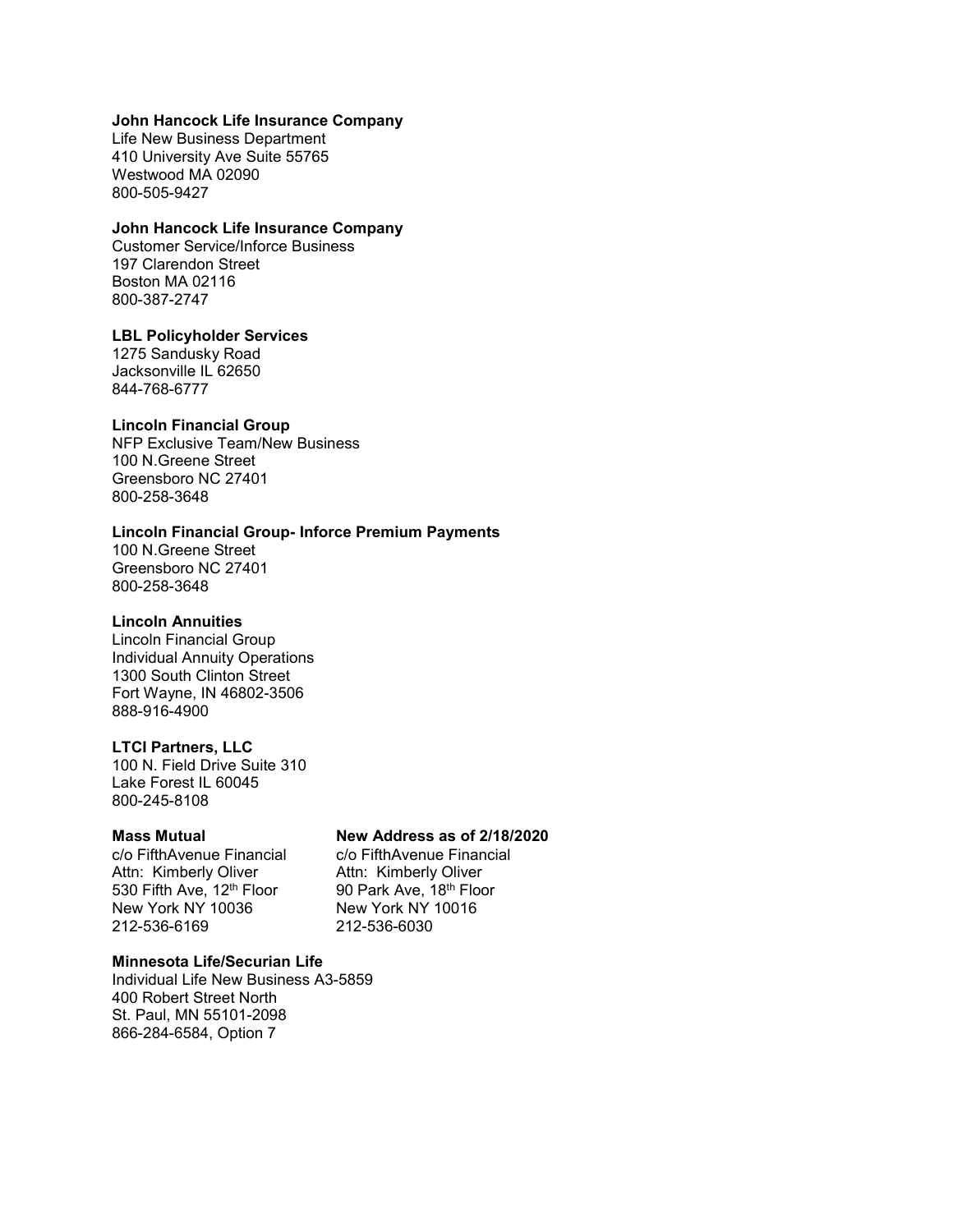## **John Hancock Life Insurance Company**

Life New Business Department 410 University Ave Suite 55765 Westwood MA 02090 800-505-9427

#### **John Hancock Life Insurance Company**

Customer Service/Inforce Business 197 Clarendon Street Boston MA 02116 800-387-2747

#### **LBL Policyholder Services**

1275 Sandusky Road Jacksonville IL 62650 844-768-6777

#### **Lincoln Financial Group**

NFP Exclusive Team/New Business 100 N.Greene Street Greensboro NC 27401 800-258-3648

# **Lincoln Financial Group- Inforce Premium Payments**

100 N.Greene Street Greensboro NC 27401 800-258-3648

#### **Lincoln Annuities**

Lincoln Financial Group Individual Annuity Operations 1300 South Clinton Street Fort Wayne, IN 46802-3506 888-916-4900

## **LTCI Partners, LLC**

100 N. Field Drive Suite 310 Lake Forest IL 60045 800-245-8108

c/o FifthAvenue Financial c/o FifthAvenue Financial<br>Attn: Kimberly Oliver Attn: Kimberly Oliver Attn: Kimberly Oliver Attn: Kimberly Oliver<br>530 Fifth Ave, 12<sup>th</sup> Floor 90 Park Ave, 18<sup>th</sup> Floor 530 Fifth Ave, 12<sup>th</sup> Floor 90 Park Ave, 18<sup>th</sup> Flo<br>New York NY 10036 New York NY 10016 New York NY 10036 New York NY<br>212-536-6169 212-536-6030 212-536-6169

## **Mass Mutual New Address as of 2/18/2020**

## **Minnesota Life/Securian Life**

Individual Life New Business A3-5859 400 Robert Street North St. Paul, MN 55101-2098 866-284-6584, Option 7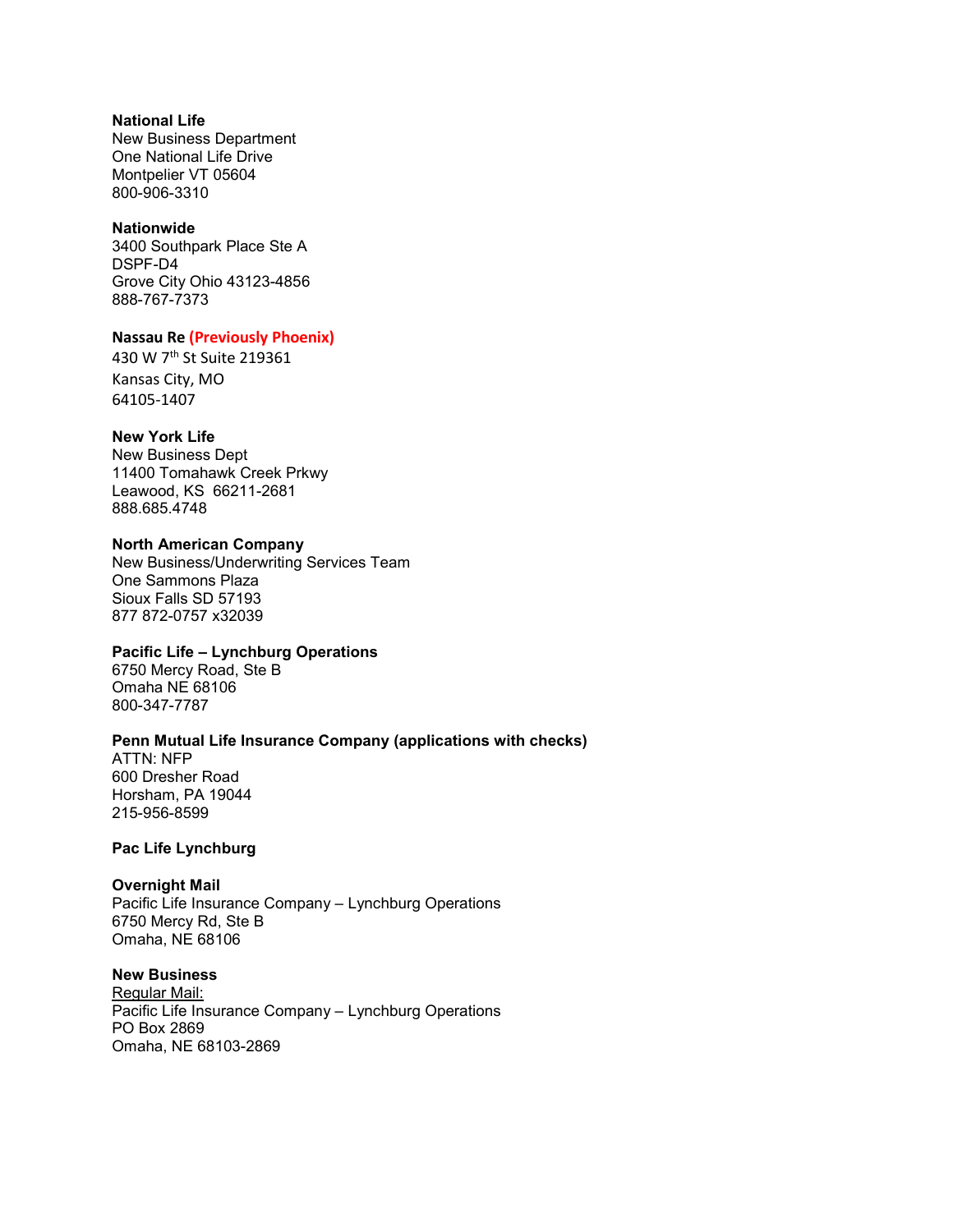# **National Life**

New Business Department One National Life Drive Montpelier VT 05604 800-906-3310

#### **Nationwide**

3400 Southpark Place Ste A DSPF-D4 Grove City Ohio 43123-4856 888-767-7373

## **Nassau Re (Previously Phoenix)**

430 W 7th St Suite 219361 Kansas City, MO 64105-1407

## **New York Life**

New Business Dept 11400 Tomahawk Creek Prkwy Leawood, KS 66211-2681 888.685.4748

## **North American Company**

New Business/Underwriting Services Team One Sammons Plaza Sioux Falls SD 57193 877 872-0757 x32039

# **Pacific Life – Lynchburg Operations**

6750 Mercy Road, Ste B Omaha NE 68106 800-347-7787

#### **Penn Mutual Life Insurance Company (applications with checks)**

ATTN: NFP 600 Dresher Road Horsham, PA 19044 215-956-8599

## **Pac Life Lynchburg**

## **Overnight Mail**

Pacific Life Insurance Company – Lynchburg Operations 6750 Mercy Rd, Ste B Omaha, NE 68106

# **New Business**

Regular Mail: Pacific Life Insurance Company – Lynchburg Operations PO Box 2869 Omaha, NE 68103-2869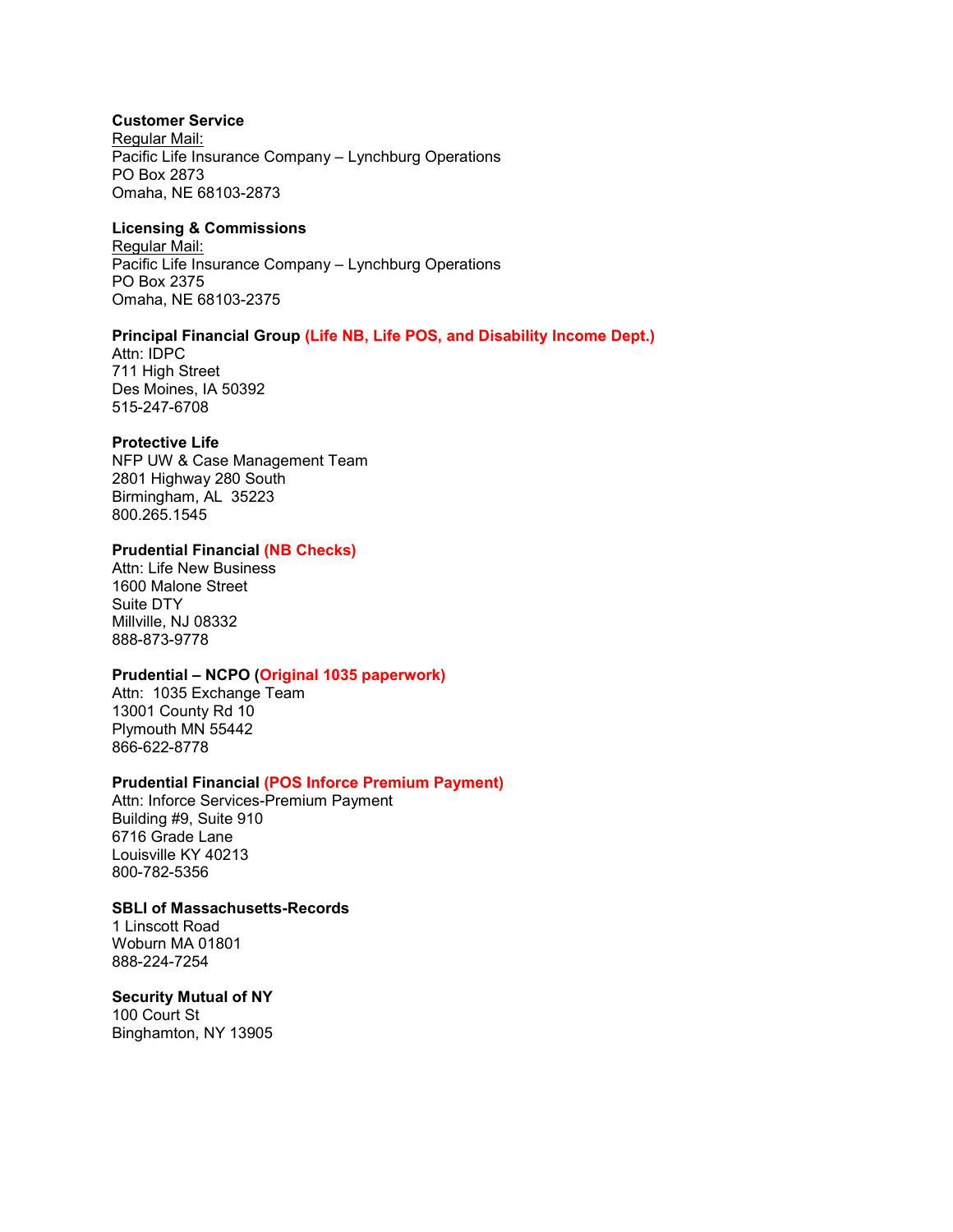## **Customer Service**

Regular Mail: Pacific Life Insurance Company – Lynchburg Operations PO Box 2873 Omaha, NE 68103-2873

## **Licensing & Commissions**

Regular Mail: Pacific Life Insurance Company – Lynchburg Operations PO Box 2375 Omaha, NE 68103-2375

# **Principal Financial Group (Life NB, Life POS, and Disability Income Dept.)**

Attn: IDPC 711 High Street Des Moines, IA 50392 515-247-6708

#### **Protective Life**

NFP UW & Case Management Team 2801 Highway 280 South Birmingham, AL 35223 800.265.1545

## **Prudential Financial (NB Checks)**

Attn: Life New Business 1600 Malone Street Suite DTY Millville, NJ 08332 888-873-9778

## **Prudential – NCPO (Original 1035 paperwork)**

Attn: 1035 Exchange Team 13001 County Rd 10 Plymouth MN 55442 866-622-8778

## **Prudential Financial (POS Inforce Premium Payment)**

Attn: Inforce Services-Premium Payment Building #9, Suite 910 6716 Grade Lane Louisville KY 40213 800-782-5356

#### **SBLI of Massachusetts-Records**

1 Linscott Road Woburn MA 01801 888-224-7254

## **Security Mutual of NY**

100 Court St Binghamton, NY 13905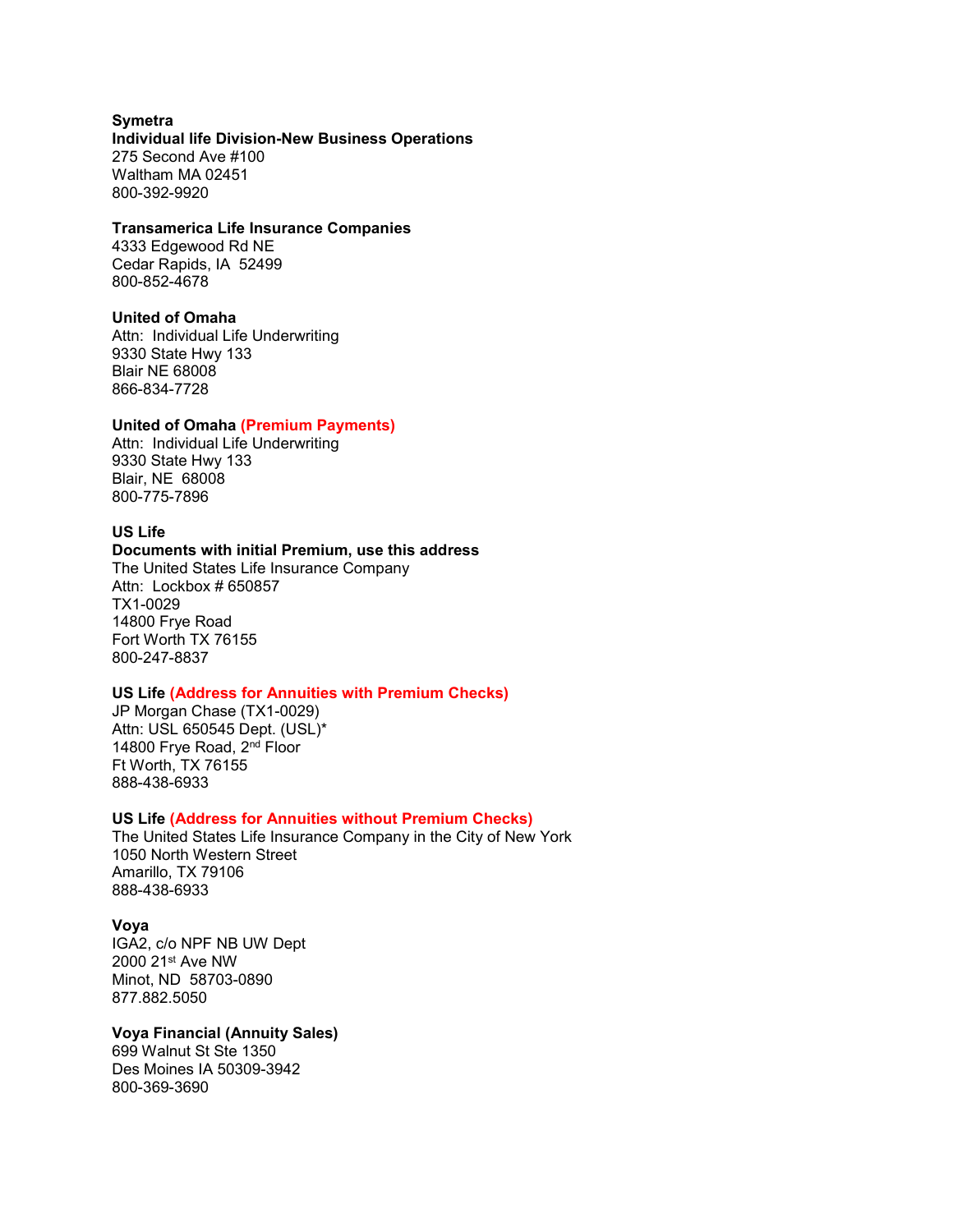**Symetra Individual life Division-New Business Operations** 275 Second Ave #100 Waltham MA 02451 800-392-9920

#### **Transamerica Life Insurance Companies**

4333 Edgewood Rd NE Cedar Rapids, IA 52499 800-852-4678

#### **United of Omaha**

Attn: Individual Life Underwriting 9330 State Hwy 133 Blair NE 68008 866-834-7728

#### **United of Omaha (Premium Payments)**

Attn: Individual Life Underwriting 9330 State Hwy 133 Blair, NE 68008 800-775-7896

# **US Life**

#### **Documents with initial Premium, use this address**

The United States Life Insurance Company Attn: Lockbox # 650857 TX1-0029 14800 Frye Road Fort Worth TX 76155 800-247-8837

# **US Life (Address for Annuities with Premium Checks)**

JP Morgan Chase (TX1-0029) Attn: USL 650545 Dept. (USL)\* 14800 Frye Road, 2<sup>nd</sup> Floor Ft Worth, TX 76155 888-438-6933

#### **US Life (Address for Annuities without Premium Checks)**

The United States Life Insurance Company in the City of New York 1050 North Western Street Amarillo, TX 79106 888-438-6933

#### **Voya**

IGA2, c/o NPF NB UW Dept 2000 21st Ave NW Minot, ND 58703-0890 877.882.5050

## **Voya Financial (Annuity Sales)**

699 Walnut St Ste 1350 Des Moines IA 50309-3942 800-369-3690